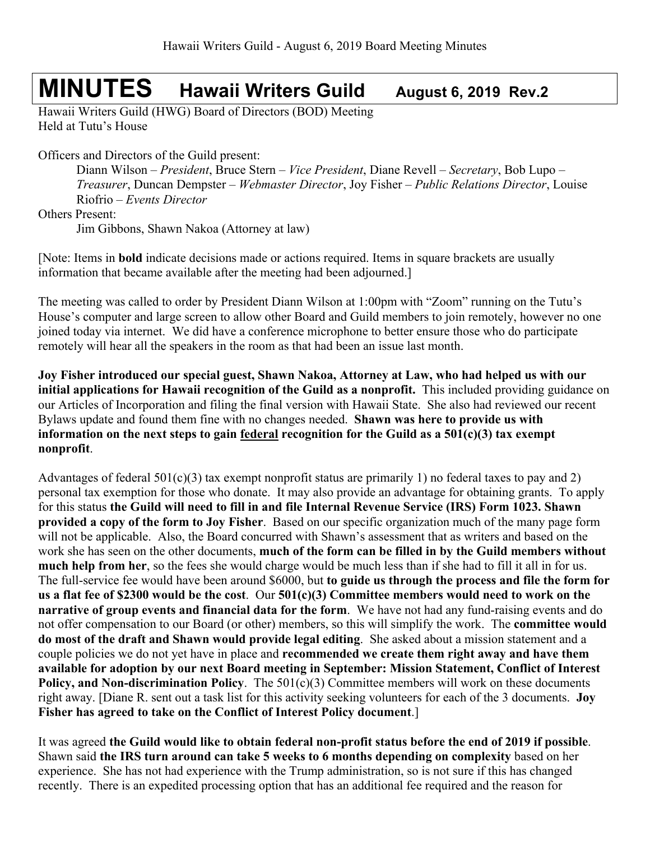# **MINUTES Hawaii Writers Guild August 6, 2019 Rev.2**

Hawaii Writers Guild (HWG) Board of Directors (BOD) Meeting Held at Tutu's House

Officers and Directors of the Guild present:

Diann Wilson – *President*, Bruce Stern – *Vice President*, Diane Revell – *Secretary*, Bob Lupo – *Treasurer*, Duncan Dempster – *Webmaster Director*, Joy Fisher – *Public Relations Director*, Louise Riofrio – *Events Director*

Others Present:

Jim Gibbons, Shawn Nakoa (Attorney at law)

[Note: Items in **bold** indicate decisions made or actions required. Items in square brackets are usually information that became available after the meeting had been adjourned.]

The meeting was called to order by President Diann Wilson at 1:00pm with "Zoom" running on the Tutu's House's computer and large screen to allow other Board and Guild members to join remotely, however no one joined today via internet. We did have a conference microphone to better ensure those who do participate remotely will hear all the speakers in the room as that had been an issue last month.

**Joy Fisher introduced our special guest, Shawn Nakoa, Attorney at Law, who had helped us with our initial applications for Hawaii recognition of the Guild as a nonprofit.** This included providing guidance on our Articles of Incorporation and filing the final version with Hawaii State. She also had reviewed our recent Bylaws update and found them fine with no changes needed. **Shawn was here to provide us with information on the next steps to gain federal recognition for the Guild as a 501(c)(3) tax exempt nonprofit**.

Advantages of federal  $501(c)(3)$  tax exempt nonprofit status are primarily 1) no federal taxes to pay and 2) personal tax exemption for those who donate. It may also provide an advantage for obtaining grants. To apply for this status **the Guild will need to fill in and file Internal Revenue Service (IRS) Form 1023. Shawn provided a copy of the form to Joy Fisher**. Based on our specific organization much of the many page form will not be applicable. Also, the Board concurred with Shawn's assessment that as writers and based on the work she has seen on the other documents, **much of the form can be filled in by the Guild members without much help from her**, so the fees she would charge would be much less than if she had to fill it all in for us. The full-service fee would have been around \$6000, but **to guide us through the process and file the form for us a flat fee of \$2300 would be the cost**. Our **501(c)(3) Committee members would need to work on the narrative of group events and financial data for the form**. We have not had any fund-raising events and do not offer compensation to our Board (or other) members, so this will simplify the work. The **committee would do most of the draft and Shawn would provide legal editing**. She asked about a mission statement and a couple policies we do not yet have in place and **recommended we create them right away and have them available for adoption by our next Board meeting in September: Mission Statement, Conflict of Interest Policy, and Non-discrimination Policy.** The 501(c)(3) Committee members will work on these documents right away. [Diane R. sent out a task list for this activity seeking volunteers for each of the 3 documents. **Joy Fisher has agreed to take on the Conflict of Interest Policy document**.]

It was agreed **the Guild would like to obtain federal non-profit status before the end of 2019 if possible**. Shawn said **the IRS turn around can take 5 weeks to 6 months depending on complexity** based on her experience. She has not had experience with the Trump administration, so is not sure if this has changed recently. There is an expedited processing option that has an additional fee required and the reason for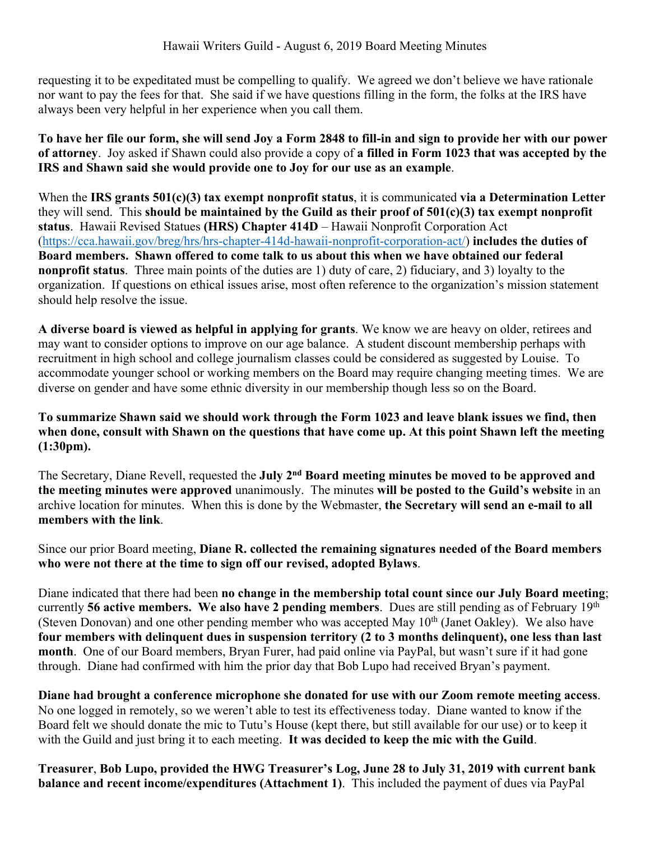requesting it to be expeditated must be compelling to qualify. We agreed we don't believe we have rationale nor want to pay the fees for that. She said if we have questions filling in the form, the folks at the IRS have always been very helpful in her experience when you call them.

**To have her file our form, she will send Joy a Form 2848 to fill-in and sign to provide her with our power of attorney**. Joy asked if Shawn could also provide a copy of **a filled in Form 1023 that was accepted by the IRS and Shawn said she would provide one to Joy for our use as an example**.

When the **IRS grants 501(c)(3) tax exempt nonprofit status**, it is communicated **via a Determination Letter** they will send. This **should be maintained by the Guild as their proof of 501(c)(3) tax exempt nonprofit status**. Hawaii Revised Statues **(HRS) Chapter 414D** – Hawaii Nonprofit Corporation Act (https://cca.hawaii.gov/breg/hrs/hrs-chapter-414d-hawaii-nonprofit-corporation-act/) **includes the duties of Board members. Shawn offered to come talk to us about this when we have obtained our federal nonprofit status**. Three main points of the duties are 1) duty of care, 2) fiduciary, and 3) loyalty to the organization. If questions on ethical issues arise, most often reference to the organization's mission statement should help resolve the issue.

**A diverse board is viewed as helpful in applying for grants**. We know we are heavy on older, retirees and may want to consider options to improve on our age balance. A student discount membership perhaps with recruitment in high school and college journalism classes could be considered as suggested by Louise. To accommodate younger school or working members on the Board may require changing meeting times. We are diverse on gender and have some ethnic diversity in our membership though less so on the Board.

**To summarize Shawn said we should work through the Form 1023 and leave blank issues we find, then when done, consult with Shawn on the questions that have come up. At this point Shawn left the meeting (1:30pm).**

The Secretary, Diane Revell, requested the **July 2nd Board meeting minutes be moved to be approved and the meeting minutes were approved** unanimously. The minutes **will be posted to the Guild's website** in an archive location for minutes. When this is done by the Webmaster, **the Secretary will send an e-mail to all members with the link**.

Since our prior Board meeting, **Diane R. collected the remaining signatures needed of the Board members who were not there at the time to sign off our revised, adopted Bylaws**.

Diane indicated that there had been **no change in the membership total count since our July Board meeting**; currently **56 active members. We also have 2 pending members**. Dues are still pending as of February 19th (Steven Donovan) and one other pending member who was accepted May  $10<sup>th</sup>$  (Janet Oakley). We also have **four members with delinquent dues in suspension territory (2 to 3 months delinquent), one less than last month**. One of our Board members, Bryan Furer, had paid online via PayPal, but wasn't sure if it had gone through. Diane had confirmed with him the prior day that Bob Lupo had received Bryan's payment.

**Diane had brought a conference microphone she donated for use with our Zoom remote meeting access**. No one logged in remotely, so we weren't able to test its effectiveness today. Diane wanted to know if the Board felt we should donate the mic to Tutu's House (kept there, but still available for our use) or to keep it with the Guild and just bring it to each meeting. **It was decided to keep the mic with the Guild**.

**Treasurer**, **Bob Lupo, provided the HWG Treasurer's Log, June 28 to July 31, 2019 with current bank balance and recent income/expenditures (Attachment 1)**. This included the payment of dues via PayPal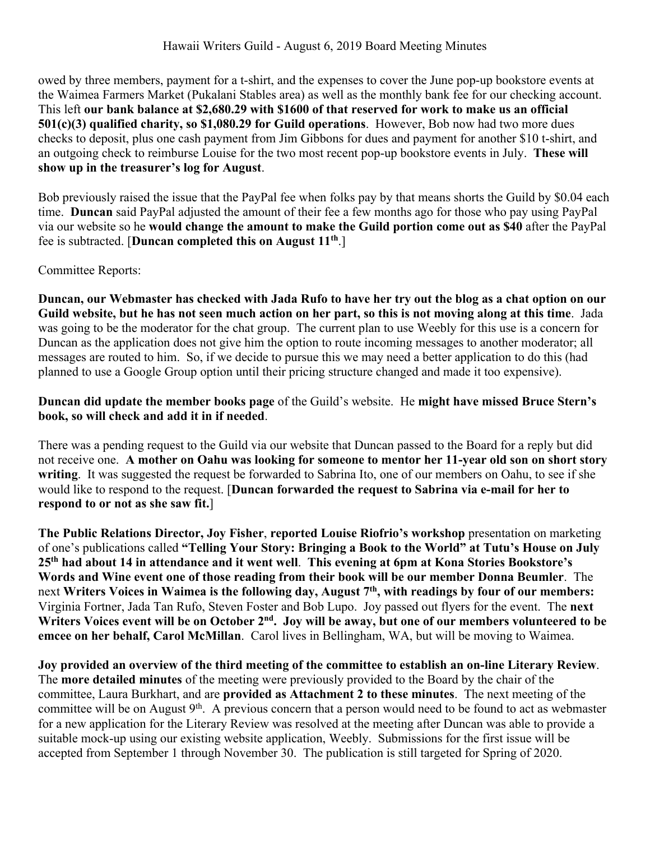#### Hawaii Writers Guild - August 6, 2019 Board Meeting Minutes

owed by three members, payment for a t-shirt, and the expenses to cover the June pop-up bookstore events at the Waimea Farmers Market (Pukalani Stables area) as well as the monthly bank fee for our checking account. This left **our bank balance at \$2,680.29 with \$1600 of that reserved for work to make us an official 501(c)(3) qualified charity, so \$1,080.29 for Guild operations**. However, Bob now had two more dues checks to deposit, plus one cash payment from Jim Gibbons for dues and payment for another \$10 t-shirt, and an outgoing check to reimburse Louise for the two most recent pop-up bookstore events in July. **These will show up in the treasurer's log for August**.

Bob previously raised the issue that the PayPal fee when folks pay by that means shorts the Guild by \$0.04 each time. **Duncan** said PayPal adjusted the amount of their fee a few months ago for those who pay using PayPal via our website so he **would change the amount to make the Guild portion come out as \$40** after the PayPal fee is subtracted. [**Duncan completed this on August 11th**.]

#### Committee Reports:

**Duncan, our Webmaster has checked with Jada Rufo to have her try out the blog as a chat option on our Guild website, but he has not seen much action on her part, so this is not moving along at this time**. Jada was going to be the moderator for the chat group. The current plan to use Weebly for this use is a concern for Duncan as the application does not give him the option to route incoming messages to another moderator; all messages are routed to him. So, if we decide to pursue this we may need a better application to do this (had planned to use a Google Group option until their pricing structure changed and made it too expensive).

**Duncan did update the member books page** of the Guild's website. He **might have missed Bruce Stern's book, so will check and add it in if needed**.

There was a pending request to the Guild via our website that Duncan passed to the Board for a reply but did not receive one. **A mother on Oahu was looking for someone to mentor her 11-year old son on short story writing**. It was suggested the request be forwarded to Sabrina Ito, one of our members on Oahu, to see if she would like to respond to the request. [**Duncan forwarded the request to Sabrina via e-mail for her to respond to or not as she saw fit.**]

**The Public Relations Director, Joy Fisher**, **reported Louise Riofrio's workshop** presentation on marketing of one's publications called **"Telling Your Story: Bringing a Book to the World" at Tutu's House on July 25th had about 14 in attendance and it went well**. **This evening at 6pm at Kona Stories Bookstore's Words and Wine event one of those reading from their book will be our member Donna Beumler**. The next **Writers Voices in Waimea is the following day, August 7th, with readings by four of our members:**  Virginia Fortner, Jada Tan Rufo, Steven Foster and Bob Lupo. Joy passed out flyers for the event. The **next**  Writers Voices event will be on October 2<sup>nd</sup>. Joy will be away, but one of our members volunteered to be **emcee on her behalf, Carol McMillan**. Carol lives in Bellingham, WA, but will be moving to Waimea.

**Joy provided an overview of the third meeting of the committee to establish an on-line Literary Review**. The **more detailed minutes** of the meeting were previously provided to the Board by the chair of the committee, Laura Burkhart, and are **provided as Attachment 2 to these minutes**. The next meeting of the committee will be on August  $9<sup>th</sup>$ . A previous concern that a person would need to be found to act as webmaster for a new application for the Literary Review was resolved at the meeting after Duncan was able to provide a suitable mock-up using our existing website application, Weebly. Submissions for the first issue will be accepted from September 1 through November 30. The publication is still targeted for Spring of 2020.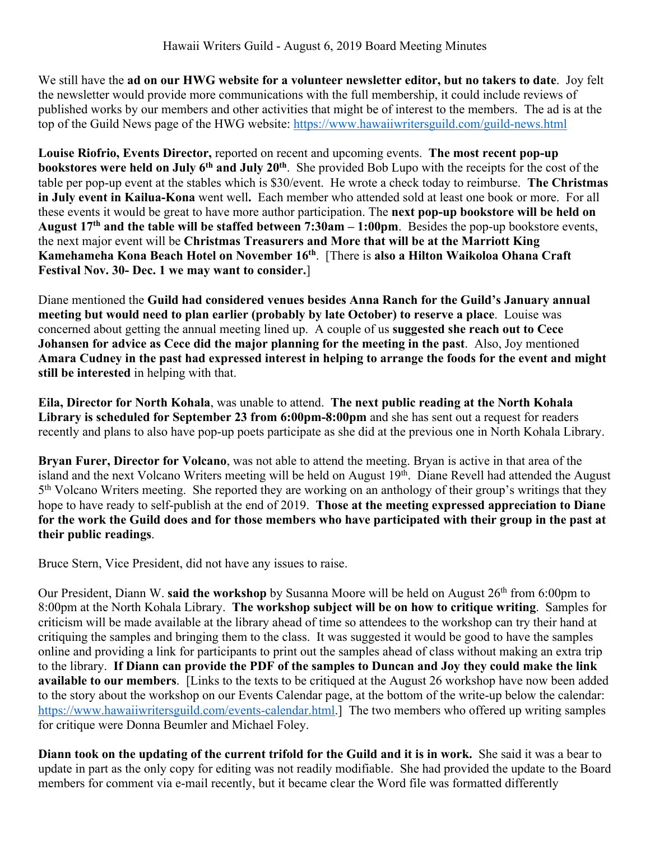We still have the **ad on our HWG website for a volunteer newsletter editor, but no takers to date**. Joy felt the newsletter would provide more communications with the full membership, it could include reviews of published works by our members and other activities that might be of interest to the members. The ad is at the top of the Guild News page of the HWG website: https://www.hawaiiwritersguild.com/guild-news.html

**Louise Riofrio, Events Director,** reported on recent and upcoming events. **The most recent pop-up bookstores** were held on July 6<sup>th</sup> and July 20<sup>th</sup>. She provided Bob Lupo with the receipts for the cost of the table per pop-up event at the stables which is \$30/event. He wrote a check today to reimburse. **The Christmas in July event in Kailua-Kona** went well**.** Each member who attended sold at least one book or more. For all these events it would be great to have more author participation. The **next pop-up bookstore will be held on August 17th and the table will be staffed between 7:30am – 1:00pm**. Besides the pop-up bookstore events, the next major event will be **Christmas Treasurers and More that will be at the Marriott King Kamehameha Kona Beach Hotel on November 16th**. [There is **also a Hilton Waikoloa Ohana Craft Festival Nov. 30- Dec. 1 we may want to consider.**]

Diane mentioned the **Guild had considered venues besides Anna Ranch for the Guild's January annual meeting but would need to plan earlier (probably by late October) to reserve a place**. Louise was concerned about getting the annual meeting lined up. A couple of us **suggested she reach out to Cece Johansen for advice as Cece did the major planning for the meeting in the past**. Also, Joy mentioned **Amara Cudney in the past had expressed interest in helping to arrange the foods for the event and might still be interested** in helping with that.

**Eila, Director for North Kohala**, was unable to attend. **The next public reading at the North Kohala Library is scheduled for September 23 from 6:00pm-8:00pm** and she has sent out a request for readers recently and plans to also have pop-up poets participate as she did at the previous one in North Kohala Library.

**Bryan Furer, Director for Volcano**, was not able to attend the meeting. Bryan is active in that area of the island and the next Volcano Writers meeting will be held on August 19<sup>th</sup>. Diane Revell had attended the August  $5<sup>th</sup>$  Volcano Writers meeting. She reported they are working on an anthology of their group's writings that they hope to have ready to self-publish at the end of 2019. **Those at the meeting expressed appreciation to Diane for the work the Guild does and for those members who have participated with their group in the past at their public readings**.

Bruce Stern, Vice President, did not have any issues to raise.

Our President, Diann W. said the workshop by Susanna Moore will be held on August 26<sup>th</sup> from 6:00pm to 8:00pm at the North Kohala Library. **The workshop subject will be on how to critique writing**. Samples for criticism will be made available at the library ahead of time so attendees to the workshop can try their hand at critiquing the samples and bringing them to the class. It was suggested it would be good to have the samples online and providing a link for participants to print out the samples ahead of class without making an extra trip to the library. **If Diann can provide the PDF of the samples to Duncan and Joy they could make the link available to our members**. [Links to the texts to be critiqued at the August 26 workshop have now been added to the story about the workshop on our Events Calendar page, at the bottom of the write-up below the calendar: https://www.hawaiiwritersguild.com/events-calendar.html.] The two members who offered up writing samples for critique were Donna Beumler and Michael Foley.

**Diann took on the updating of the current trifold for the Guild and it is in work.** She said it was a bear to update in part as the only copy for editing was not readily modifiable. She had provided the update to the Board members for comment via e-mail recently, but it became clear the Word file was formatted differently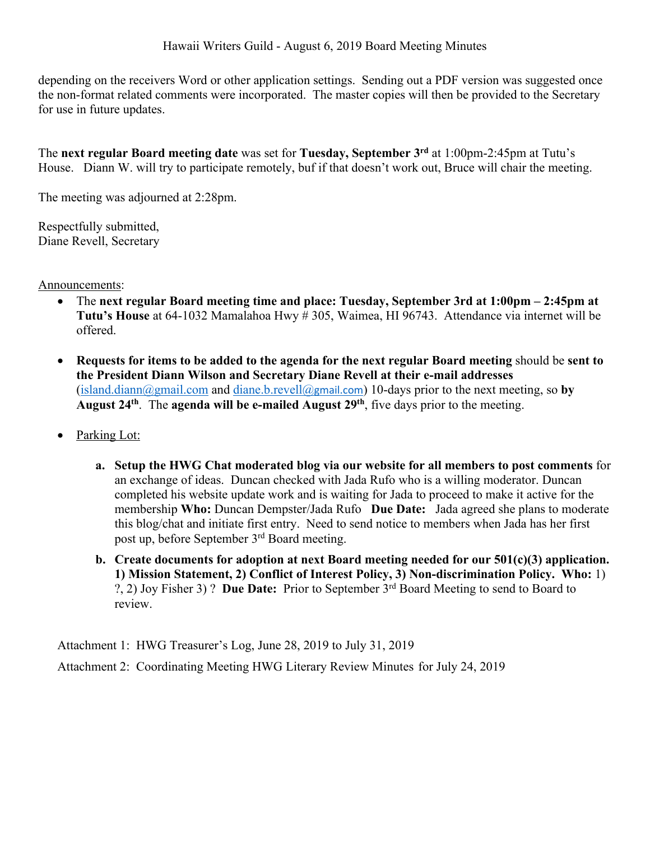depending on the receivers Word or other application settings. Sending out a PDF version was suggested once the non-format related comments were incorporated. The master copies will then be provided to the Secretary for use in future updates.

The **next regular Board meeting date** was set for **Tuesday, September 3rd** at 1:00pm-2:45pm at Tutu's House. Diann W. will try to participate remotely, buf if that doesn't work out, Bruce will chair the meeting.

The meeting was adjourned at 2:28pm.

Respectfully submitted, Diane Revell, Secretary

Announcements:

- The **next regular Board meeting time and place: Tuesday, September 3rd at 1:00pm – 2:45pm at Tutu's House** at 64-1032 Mamalahoa Hwy # 305, Waimea, HI 96743. Attendance via internet will be offered.
- **Requests for items to be added to the agenda for the next regular Board meeting** should be **sent to the President Diann Wilson and Secretary Diane Revell at their e-mail addresses** (island.diann@gmail.com and diane.b.revell@gmail.com) 10-days prior to the next meeting, so **by August 24th**. The **agenda will be e-mailed August 29th**, five days prior to the meeting.
- Parking Lot:
	- **a. Setup the HWG Chat moderated blog via our website for all members to post comments** for an exchange of ideas. Duncan checked with Jada Rufo who is a willing moderator. Duncan completed his website update work and is waiting for Jada to proceed to make it active for the membership **Who:** Duncan Dempster/Jada Rufo **Due Date:** Jada agreed she plans to moderate this blog/chat and initiate first entry. Need to send notice to members when Jada has her first post up, before September 3rd Board meeting.
	- **b. Create documents for adoption at next Board meeting needed for our 501(c)(3) application. 1) Mission Statement, 2) Conflict of Interest Policy, 3) Non-discrimination Policy. Who:** 1) ?, 2) Joy Fisher 3) ? **Due Date:** Prior to September 3rd Board Meeting to send to Board to review.

Attachment 1: HWG Treasurer's Log, June 28, 2019 to July 31, 2019 Attachment 2: Coordinating Meeting HWG Literary Review Minutes for July 24, 2019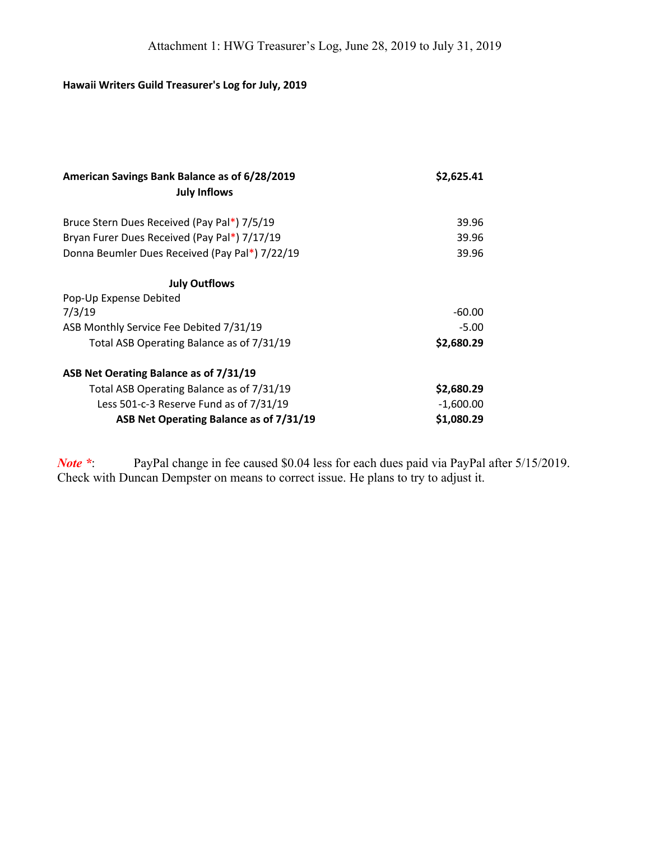# **Hawaii Writers Guild Treasurer's Log for July, 2019**

| American Savings Bank Balance as of 6/28/2019  | \$2,625.41  |
|------------------------------------------------|-------------|
| <b>July Inflows</b>                            |             |
| Bruce Stern Dues Received (Pay Pal*) 7/5/19    | 39.96       |
| Bryan Furer Dues Received (Pay Pal*) 7/17/19   | 39.96       |
| Donna Beumler Dues Received (Pay Pal*) 7/22/19 | 39.96       |
| <b>July Outflows</b>                           |             |
| Pop-Up Expense Debited                         |             |
| 7/3/19                                         | $-60.00$    |
| ASB Monthly Service Fee Debited 7/31/19        | $-5.00$     |
| Total ASB Operating Balance as of 7/31/19      | \$2,680.29  |
| ASB Net Oerating Balance as of 7/31/19         |             |
| Total ASB Operating Balance as of 7/31/19      | \$2,680.29  |
| Less 501-c-3 Reserve Fund as of 7/31/19        | $-1,600.00$ |
| ASB Net Operating Balance as of 7/31/19        | \$1,080.29  |

*Note* \*: PayPal change in fee caused \$0.04 less for each dues paid via PayPal after 5/15/2019. Check with Duncan Dempster on means to correct issue. He plans to try to adjust it.